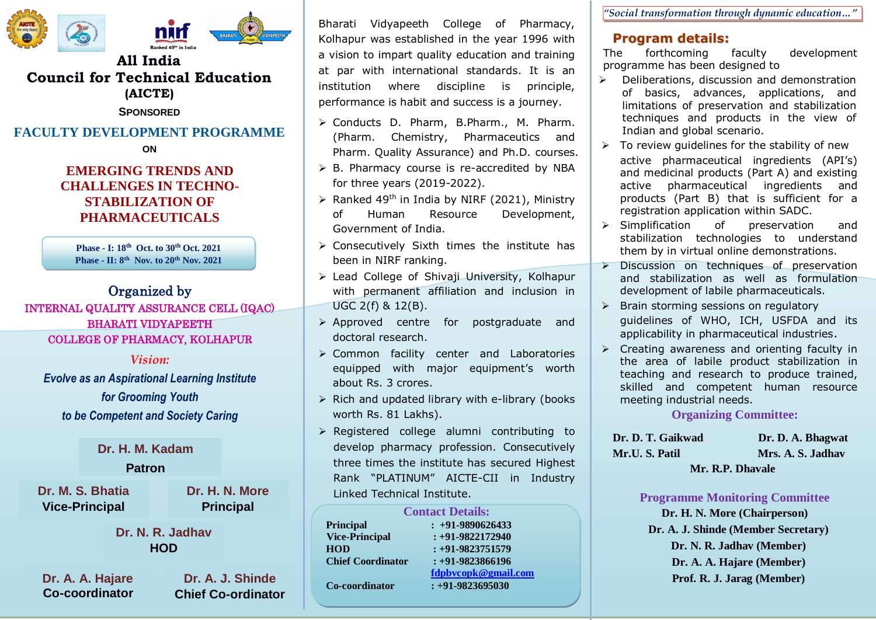

# **All India Council for Technical Education (AICTE)**

**SPONSORED**

# **FACULTY DEVELOPMENT PROGRAMME**

**ON**

## **EMERGING TRENDS AND CHALLENGES IN TECHNO-STABILIZATION OF PHARMACEUTICALS**

**Phase - I: 18th Oct. to 30th Oct. 2021 Phase - II: 8 th Nov. to 20th Nov. 2021**

### Ī Organized by

INTERNAL QUALITY ASSURANCE CELL (IQAC) BHARATI VIDYAPEETH COLLEGE OF PHARMACY, KOLHAPUR

#### *Vision:*

*Evolve as an Aspirational Learning Institute for Grooming Youth to be Competent and Society Caring*

# *Pharmacy Professionals* **Dr. H. M. Kadam**

### **Patron**

**Dr. M. S. Bhatia Vice-Principal**

**Dr. H. N. More Principal**

### **Dr. N. R. Jadhav HOD**

**Dr. A. A. Hajare Co-coordinator**

**Dr. A. J. Shinde Chief Co-ordinator** Bharati Vidyapeeth College of Pharmacy, Kolhapur was established in the year 1996 with a vision to impart quality education and training at par with international standards. It is an institution where discipline is principle, performance is habit and success is a journey.

- Conducts D. Pharm, B.Pharm., M. Pharm. (Pharm. Chemistry, Pharmaceutics and Pharm. Quality Assurance) and Ph.D. courses.
- $\triangleright$  B. Pharmacy course is re-accredited by NBA for three years (2019-2022).
- $\triangleright$  Ranked 49<sup>th</sup> in India by NIRF (2021), Ministry of Human Resource Development, Government of India.
- $\triangleright$  Consecutively Sixth times the institute has been in NIRF ranking.
- Lead College of Shivaji University, Kolhapur with permanent affiliation and inclusion in UGC 2(f) & 12(B).
- Approved centre for postgraduate and doctoral research.
- Common facility center and Laboratories equipped with major equipment's worth about Rs. 3 crores.
- $\triangleright$  Rich and updated library with e-library (books worth Rs. 81 Lakhs).
- $\triangleright$  Registered college alumni contributing to develop pharmacy profession. Consecutively three times the institute has secured Highest Rank "PLATINUM" AICTE-CII in Industry Linked Technical Institute.

| <b>Contact Details:</b>  |                      |
|--------------------------|----------------------|
| <b>Principal</b>         | $: +91-9890626433$   |
| <b>Vice-Principal</b>    | $: +91 - 9822172940$ |
| <b>HOD</b>               | $: +91 - 9823751579$ |
| <b>Chief Coordinator</b> | $: +91 - 9823866196$ |
|                          | fdpbvcopk@gmail.com  |
| Co-coordinator           | $: +91 - 9823695030$ |

*"Social transformation through dynamic education…"*

## **Program details:**

The forthcoming faculty development programme has been designed to

- $\triangleright$  Deliberations, discussion and demonstration of basics, advances, applications, and limitations of preservation and stabilization techniques and products in the view of Indian and global scenario.
- $\triangleright$  To review guidelines for the stability of new active pharmaceutical ingredients (API's) and medicinal products (Part A) and existing active pharmaceutical ingredients and products (Part B) that is sufficient for a registration application within SADC.
- > Simplification of preservation and stabilization technologies to understand them by in virtual online demonstrations.
- > Discussion on techniques of preservation and stabilization as well as formulation development of labile pharmaceuticals.
- $\triangleright$  Brain storming sessions on regulatory guidelines of WHO, ICH, USFDA and its applicability in pharmaceutical industries.
- $\triangleright$  Creating awareness and orienting faculty in the area of labile product stabilization in teaching and research to produce trained, skilled and competent human resource meeting industrial needs.

#### **Organizing Committee:**

| Dr. D. T. Gaikwad | Dr. D. A. Bhagwat |
|-------------------|-------------------|
| Mr.U. S. Patil    | Mrs. A. S. Jadhav |
| Mr. R.P. Dhavale  |                   |

#### **Programme Monitoring Committee**

**Dr. H. N. More (Chairperson) Dr. A. J. Shinde (Member Secretary) Dr. N. R. Jadhav (Member) Dr. A. A. Hajare (Member) Prof. R. J. Jarag (Member)**